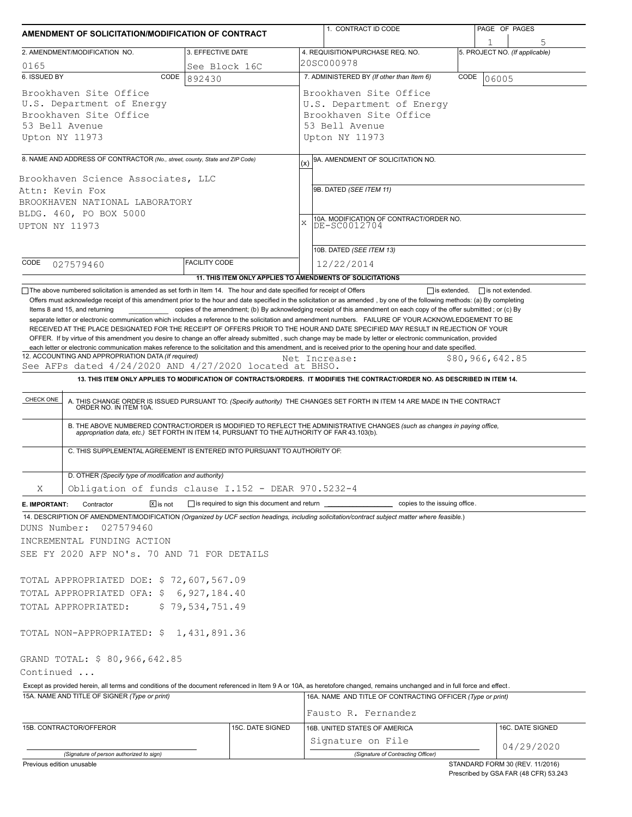| AMENDMENT OF SOLICITATION/MODIFICATION OF CONTRACT                                                                                                                                                                                                                                                                                                                                                                                                                                                                        |                      |                  | 1. CONTRACT ID CODE                                                                                                                                                                                                   | PAGE OF PAGES                   |  |  |  |  |  |  |
|---------------------------------------------------------------------------------------------------------------------------------------------------------------------------------------------------------------------------------------------------------------------------------------------------------------------------------------------------------------------------------------------------------------------------------------------------------------------------------------------------------------------------|----------------------|------------------|-----------------------------------------------------------------------------------------------------------------------------------------------------------------------------------------------------------------------|---------------------------------|--|--|--|--|--|--|
| 2. AMENDMENT/MODIFICATION NO.                                                                                                                                                                                                                                                                                                                                                                                                                                                                                             | 3. EFFECTIVE DATE    |                  | 4. REQUISITION/PURCHASE REQ. NO.                                                                                                                                                                                      | 5. PROJECT NO. (If applicable)  |  |  |  |  |  |  |
| 0165                                                                                                                                                                                                                                                                                                                                                                                                                                                                                                                      | See Block 16C        |                  | 20SC000978                                                                                                                                                                                                            |                                 |  |  |  |  |  |  |
| 6. ISSUED BY<br>CODE                                                                                                                                                                                                                                                                                                                                                                                                                                                                                                      | 892430               |                  | 7. ADMINISTERED BY (If other than Item 6)                                                                                                                                                                             | CODE<br>06005                   |  |  |  |  |  |  |
| Brookhaven Site Office<br>U.S. Department of Energy<br>Brookhaven Site Office<br>53 Bell Avenue<br>Upton NY 11973                                                                                                                                                                                                                                                                                                                                                                                                         |                      |                  | Brookhaven Site Office<br>U.S. Department of Energy<br>Brookhaven Site Office<br>53 Bell Avenue<br>Upton NY 11973                                                                                                     |                                 |  |  |  |  |  |  |
|                                                                                                                                                                                                                                                                                                                                                                                                                                                                                                                           |                      |                  |                                                                                                                                                                                                                       |                                 |  |  |  |  |  |  |
| 8. NAME AND ADDRESS OF CONTRACTOR (No., street, county, State and ZIP Code)<br>Brookhaven Science Associates, LLC<br>Attn: Kevin Fox<br>BROOKHAVEN NATIONAL LABORATORY<br>BLDG. 460, PO BOX 5000<br><b>UPTON NY 11973</b>                                                                                                                                                                                                                                                                                                 |                      |                  | 9A. AMENDMENT OF SOLICITATION NO.<br>(x)<br>9B. DATED (SEE ITEM 11)<br>10A. MODIFICATION OF CONTRACT/ORDER NO.<br>$\bar{x}$<br>DE-SC0012704                                                                           |                                 |  |  |  |  |  |  |
|                                                                                                                                                                                                                                                                                                                                                                                                                                                                                                                           |                      |                  | 10B. DATED (SEE ITEM 13)                                                                                                                                                                                              |                                 |  |  |  |  |  |  |
| CODE<br>027579460                                                                                                                                                                                                                                                                                                                                                                                                                                                                                                         | <b>FACILITY CODE</b> |                  | 12/22/2014                                                                                                                                                                                                            |                                 |  |  |  |  |  |  |
|                                                                                                                                                                                                                                                                                                                                                                                                                                                                                                                           |                      |                  | 11. THIS ITEM ONLY APPLIES TO AMENDMENTS OF SOLICITATIONS                                                                                                                                                             |                                 |  |  |  |  |  |  |
| RECEIVED AT THE PLACE DESIGNATED FOR THE RECEIPT OF OFFERS PRIOR TO THE HOUR AND DATE SPECIFIED MAY RESULT IN REJECTION OF YOUR<br>OFFER. If by virtue of this amendment you desire to change an offer already submitted, such change may be made by letter or electronic communication, provided<br>each letter or electronic communication makes reference to the solicitation and this amendment, and is received prior to the opening hour and date specified.<br>12. ACCOUNTING AND APPROPRIATION DATA (If required) |                      |                  | Net Increase:                                                                                                                                                                                                         | \$80,966,642.85                 |  |  |  |  |  |  |
| See AFPs dated 4/24/2020 AND 4/27/2020 located at BHSO.                                                                                                                                                                                                                                                                                                                                                                                                                                                                   |                      |                  |                                                                                                                                                                                                                       |                                 |  |  |  |  |  |  |
| C. THIS SUPPLEMENTAL AGREEMENT IS ENTERED INTO PURSUANT TO AUTHORITY OF:                                                                                                                                                                                                                                                                                                                                                                                                                                                  |                      |                  | B. THE ABOVE NUMBERED CONTRACT/ORDER IS MODIFIED TO REFLECT THE ADMINISTRATIVE CHANGES (such as changes in paying office, appropriation data, etc.) SET FORTH IN ITEM 14, PURSUANT TO THE AUTHORITY OF FAR 43.103(b). |                                 |  |  |  |  |  |  |
| D. OTHER (Specify type of modification and authority)                                                                                                                                                                                                                                                                                                                                                                                                                                                                     |                      |                  |                                                                                                                                                                                                                       |                                 |  |  |  |  |  |  |
| Χ<br>Obligation of funds clause I.152 - DEAR 970.5232-4                                                                                                                                                                                                                                                                                                                                                                                                                                                                   |                      |                  |                                                                                                                                                                                                                       |                                 |  |  |  |  |  |  |
| $\boxed{\mathsf{X}}$ is not<br>Contractor<br>E. IMPORTANT:                                                                                                                                                                                                                                                                                                                                                                                                                                                                |                      |                  | is required to sign this document and return ___________________________ copies to the issuing office.                                                                                                                |                                 |  |  |  |  |  |  |
| 14. DESCRIPTION OF AMENDMENT/MODIFICATION (Organized by UCF section headings, including solicitation/contract subject matter where feasible.)<br>027579460<br>DUNS Number:<br>INCREMENTAL FUNDING ACTION<br>SEE FY 2020 AFP NO's. 70 AND 71 FOR DETAILS                                                                                                                                                                                                                                                                   |                      |                  |                                                                                                                                                                                                                       |                                 |  |  |  |  |  |  |
| TOTAL APPROPRIATED DOE: \$72,607,567.09                                                                                                                                                                                                                                                                                                                                                                                                                                                                                   |                      |                  |                                                                                                                                                                                                                       |                                 |  |  |  |  |  |  |
| TOTAL APPROPRIATED OFA: \$6,927,184.40                                                                                                                                                                                                                                                                                                                                                                                                                                                                                    |                      |                  |                                                                                                                                                                                                                       |                                 |  |  |  |  |  |  |
| TOTAL APPROPRIATED:                                                                                                                                                                                                                                                                                                                                                                                                                                                                                                       | \$79,534,751.49      |                  |                                                                                                                                                                                                                       |                                 |  |  |  |  |  |  |
| TOTAL NON-APPROPRIATED: \$ 1,431,891.36<br>GRAND TOTAL: \$ 80,966,642.85<br>Continued                                                                                                                                                                                                                                                                                                                                                                                                                                     |                      |                  |                                                                                                                                                                                                                       |                                 |  |  |  |  |  |  |
| Except as provided herein, all terms and conditions of the document referenced in Item 9 A or 10A, as heretofore changed, remains unchanged and in full force and effect.                                                                                                                                                                                                                                                                                                                                                 |                      |                  |                                                                                                                                                                                                                       |                                 |  |  |  |  |  |  |
| 15A. NAME AND TITLE OF SIGNER (Type or print)                                                                                                                                                                                                                                                                                                                                                                                                                                                                             |                      |                  | 16A. NAME AND TITLE OF CONTRACTING OFFICER (Type or print)                                                                                                                                                            |                                 |  |  |  |  |  |  |
|                                                                                                                                                                                                                                                                                                                                                                                                                                                                                                                           |                      |                  | Fausto R. Fernandez                                                                                                                                                                                                   |                                 |  |  |  |  |  |  |
| 15B. CONTRACTOR/OFFEROR                                                                                                                                                                                                                                                                                                                                                                                                                                                                                                   |                      | 15C. DATE SIGNED | 16B. UNITED STATES OF AMERICA<br>Signature on File                                                                                                                                                                    | 16C. DATE SIGNED                |  |  |  |  |  |  |
| (Signature of person authorized to sign)                                                                                                                                                                                                                                                                                                                                                                                                                                                                                  |                      |                  | (Signature of Contracting Officer)                                                                                                                                                                                    | 04/29/2020                      |  |  |  |  |  |  |
| Previous edition unusable                                                                                                                                                                                                                                                                                                                                                                                                                                                                                                 |                      |                  |                                                                                                                                                                                                                       | STANDARD FORM 30 (REV. 11/2016) |  |  |  |  |  |  |

Prescribed by GSA FAR (48 CFR) 53.243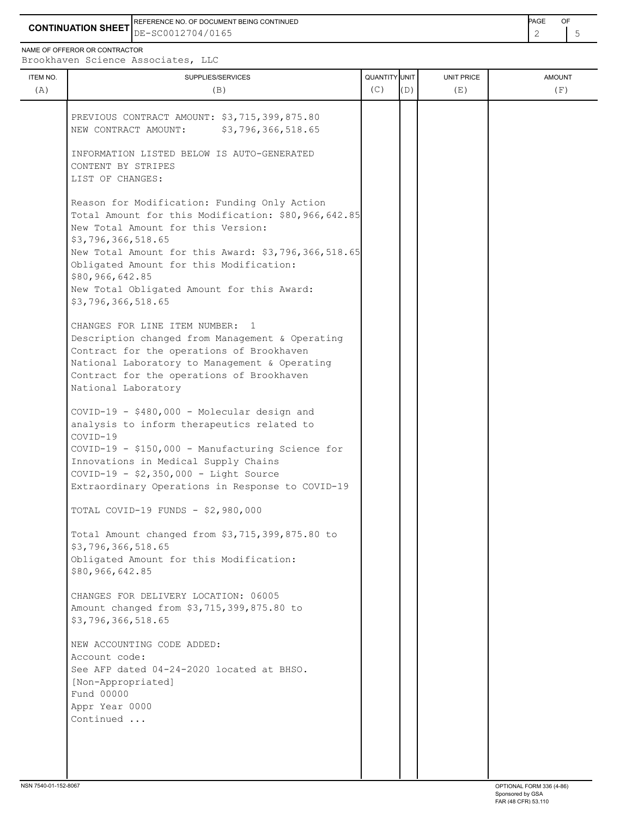**CONTINUATION SHEET** DE-SC0012704/0165 REFERENCE NO. OF DOCUMENT BEING CONTINUED **Example 20 and 20 and 20 and 20 and 20 and 20 and 20 and 20 and 20 and 20 and 20 and 20 and 20 and 20 and 20 and 20 and 20 and 20 and 20 and 20 and 20 and 20 and 20 and 20 and 20** 

NAME OF OFFEROR OR CONTRACTOR

| <b>ITEM NO.</b> | SUPPLIES/SERVICES                                                             | QUANTITY UNIT |     | UNIT PRICE | <b>AMOUNT</b> |
|-----------------|-------------------------------------------------------------------------------|---------------|-----|------------|---------------|
| (A)             | (B)                                                                           | (C)           | (D) | (E)        | (F)           |
|                 |                                                                               |               |     |            |               |
|                 | PREVIOUS CONTRACT AMOUNT: \$3,715,399,875.80                                  |               |     |            |               |
|                 | NEW CONTRACT AMOUNT:<br>\$3,796,366,518.65                                    |               |     |            |               |
|                 | INFORMATION LISTED BELOW IS AUTO-GENERATED                                    |               |     |            |               |
|                 | CONTENT BY STRIPES                                                            |               |     |            |               |
|                 | LIST OF CHANGES:                                                              |               |     |            |               |
|                 |                                                                               |               |     |            |               |
|                 | Reason for Modification: Funding Only Action                                  |               |     |            |               |
|                 | Total Amount for this Modification: \$80,966,642.85                           |               |     |            |               |
|                 | New Total Amount for this Version:                                            |               |     |            |               |
|                 | \$3,796,366,518.65                                                            |               |     |            |               |
|                 | New Total Amount for this Award: \$3,796,366,518.65                           |               |     |            |               |
|                 | Obligated Amount for this Modification:                                       |               |     |            |               |
|                 | \$80,966,642.85                                                               |               |     |            |               |
|                 | New Total Obligated Amount for this Award:                                    |               |     |            |               |
|                 | \$3,796,366,518.65                                                            |               |     |            |               |
|                 | CHANGES FOR LINE ITEM NUMBER:<br>$\overline{1}$                               |               |     |            |               |
|                 | Description changed from Management & Operating                               |               |     |            |               |
|                 | Contract for the operations of Brookhaven                                     |               |     |            |               |
|                 | National Laboratory to Management & Operating                                 |               |     |            |               |
|                 | Contract for the operations of Brookhaven                                     |               |     |            |               |
|                 | National Laboratory                                                           |               |     |            |               |
|                 |                                                                               |               |     |            |               |
|                 | COVID-19 - \$480,000 - Molecular design and                                   |               |     |            |               |
|                 | analysis to inform therapeutics related to                                    |               |     |            |               |
|                 | COVID-19                                                                      |               |     |            |               |
|                 | COVID-19 - \$150,000 - Manufacturing Science for                              |               |     |            |               |
|                 | Innovations in Medical Supply Chains<br>COVID-19 - \$2,350,000 - Light Source |               |     |            |               |
|                 | Extraordinary Operations in Response to COVID-19                              |               |     |            |               |
|                 |                                                                               |               |     |            |               |
|                 | TOTAL COVID-19 FUNDS - \$2,980,000                                            |               |     |            |               |
|                 | Total Amount changed from \$3,715,399,875.80 to                               |               |     |            |               |
|                 | \$3,796,366,518.65                                                            |               |     |            |               |
|                 | Obligated Amount for this Modification:                                       |               |     |            |               |
|                 | \$80,966,642.85                                                               |               |     |            |               |
|                 | CHANGES FOR DELIVERY LOCATION: 06005                                          |               |     |            |               |
|                 | Amount changed from \$3,715,399,875.80 to                                     |               |     |            |               |
|                 | \$3,796,366,518.65                                                            |               |     |            |               |
|                 |                                                                               |               |     |            |               |
|                 | NEW ACCOUNTING CODE ADDED:                                                    |               |     |            |               |
|                 | Account code:                                                                 |               |     |            |               |
|                 | See AFP dated 04-24-2020 located at BHSO.                                     |               |     |            |               |
|                 | [Non-Appropriated]                                                            |               |     |            |               |
|                 | Fund 00000                                                                    |               |     |            |               |
|                 | Appr Year 0000                                                                |               |     |            |               |
|                 | Continued                                                                     |               |     |            |               |
|                 |                                                                               |               |     |            |               |
|                 |                                                                               |               |     |            |               |
|                 |                                                                               |               |     |            |               |
|                 |                                                                               |               |     |            |               |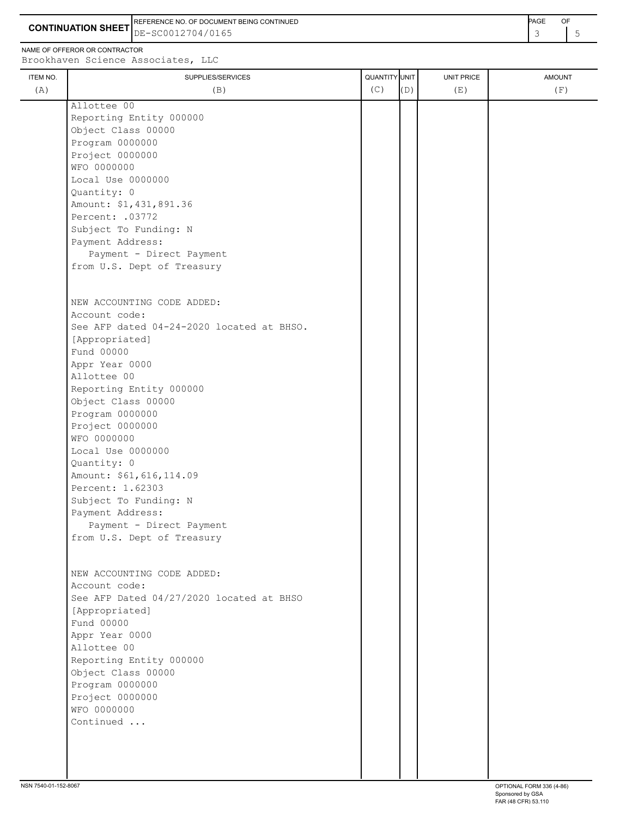**CONTINUATION SHEET** DE-SC0012704/0165 REFERENCE NO. OF DOCUMENT BEING CONTINUED

NAME OF OFFEROR OR CONTRACTOR

| ITEM NO. | SUPPLIES/SERVICES                         | <b>QUANTITY</b> UNIT |     | UNIT PRICE | <b>AMOUNT</b> |
|----------|-------------------------------------------|----------------------|-----|------------|---------------|
|          | (B)                                       | (C)                  | (D) | (E)        | (F)           |
|          | Allottee 00                               |                      |     |            |               |
|          | Reporting Entity 000000                   |                      |     |            |               |
|          | Object Class 00000                        |                      |     |            |               |
|          | Program 0000000                           |                      |     |            |               |
|          | Project 0000000                           |                      |     |            |               |
|          | WFO 0000000                               |                      |     |            |               |
|          | Local Use 0000000                         |                      |     |            |               |
|          | Quantity: 0                               |                      |     |            |               |
|          | Amount: \$1,431,891.36                    |                      |     |            |               |
|          | Percent: .03772                           |                      |     |            |               |
|          | Subject To Funding: N                     |                      |     |            |               |
|          | Payment Address:                          |                      |     |            |               |
|          |                                           |                      |     |            |               |
|          | Payment - Direct Payment                  |                      |     |            |               |
|          | from U.S. Dept of Treasury                |                      |     |            |               |
|          |                                           |                      |     |            |               |
|          | NEW ACCOUNTING CODE ADDED:                |                      |     |            |               |
|          | Account code:                             |                      |     |            |               |
|          | See AFP dated 04-24-2020 located at BHSO. |                      |     |            |               |
|          | [Appropriated]                            |                      |     |            |               |
|          | Fund 00000                                |                      |     |            |               |
|          |                                           |                      |     |            |               |
|          | Appr Year 0000                            |                      |     |            |               |
|          | Allottee 00                               |                      |     |            |               |
|          | Reporting Entity 000000                   |                      |     |            |               |
|          | Object Class 00000                        |                      |     |            |               |
|          | Program 0000000                           |                      |     |            |               |
|          | Project 0000000                           |                      |     |            |               |
|          | WFO 0000000                               |                      |     |            |               |
|          | Local Use 0000000                         |                      |     |            |               |
|          | Quantity: 0                               |                      |     |            |               |
|          | Amount: \$61,616,114.09                   |                      |     |            |               |
|          | Percent: 1.62303                          |                      |     |            |               |
|          | Subject To Funding: N                     |                      |     |            |               |
|          | Payment Address:                          |                      |     |            |               |
|          | Payment - Direct Payment                  |                      |     |            |               |
|          | from U.S. Dept of Treasury                |                      |     |            |               |
|          |                                           |                      |     |            |               |
|          |                                           |                      |     |            |               |
|          | NEW ACCOUNTING CODE ADDED:                |                      |     |            |               |
|          | Account code:                             |                      |     |            |               |
|          | See AFP Dated 04/27/2020 located at BHSO  |                      |     |            |               |
|          | [Appropriated]                            |                      |     |            |               |
|          | Fund 00000                                |                      |     |            |               |
|          | Appr Year 0000                            |                      |     |            |               |
|          | Allottee 00                               |                      |     |            |               |
|          | Reporting Entity 000000                   |                      |     |            |               |
|          | Object Class 00000                        |                      |     |            |               |
|          | Program 0000000                           |                      |     |            |               |
|          |                                           |                      |     |            |               |
|          | Project 0000000                           |                      |     |            |               |
|          | WFO 0000000                               |                      |     |            |               |
|          | Continued                                 |                      |     |            |               |
|          |                                           |                      |     |            |               |
|          |                                           |                      |     |            |               |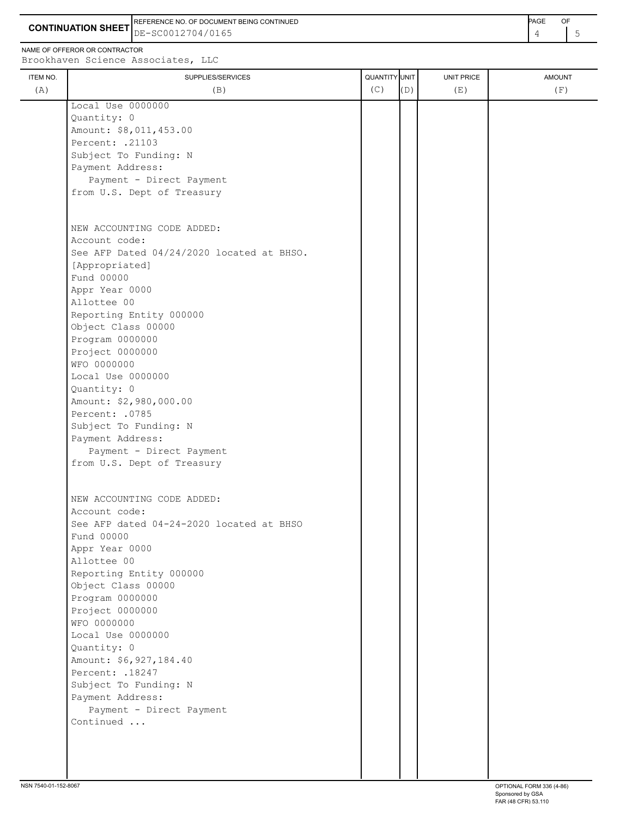**CONTINUATION SHEET** DE-SC0012704/0165 REFERENCE NO. OF DOCUMENT BEING CONTINUED **AGE ACCUMENT ACCUMENT OF A CONTINUED** 

NAME OF OFFEROR OR CONTRACTOR

| (A) |                                           | QUANTITY UNIT |     | UNIT PRICE | <b>AMOUNT</b> |
|-----|-------------------------------------------|---------------|-----|------------|---------------|
|     | (B)                                       | (C)           | (D) | (E)        | (F)           |
|     | Local Use 0000000                         |               |     |            |               |
|     | Quantity: 0                               |               |     |            |               |
|     | Amount: \$8,011,453.00                    |               |     |            |               |
|     | Percent: .21103                           |               |     |            |               |
|     | Subject To Funding: N                     |               |     |            |               |
|     | Payment Address:                          |               |     |            |               |
|     | Payment - Direct Payment                  |               |     |            |               |
|     | from U.S. Dept of Treasury                |               |     |            |               |
|     |                                           |               |     |            |               |
|     | NEW ACCOUNTING CODE ADDED:                |               |     |            |               |
|     | Account code:                             |               |     |            |               |
|     | See AFP Dated 04/24/2020 located at BHSO. |               |     |            |               |
|     | [Appropriated]                            |               |     |            |               |
|     | Fund 00000                                |               |     |            |               |
|     | Appr Year 0000                            |               |     |            |               |
|     | Allottee 00                               |               |     |            |               |
|     | Reporting Entity 000000                   |               |     |            |               |
|     | Object Class 00000                        |               |     |            |               |
|     | Program 0000000                           |               |     |            |               |
|     | Project 0000000                           |               |     |            |               |
|     | WFO 0000000                               |               |     |            |               |
|     | Local Use 0000000                         |               |     |            |               |
|     | Quantity: 0                               |               |     |            |               |
|     | Amount: \$2,980,000.00                    |               |     |            |               |
|     | Percent: .0785                            |               |     |            |               |
|     | Subject To Funding: N                     |               |     |            |               |
|     | Payment Address:                          |               |     |            |               |
|     | Payment - Direct Payment                  |               |     |            |               |
|     | from U.S. Dept of Treasury                |               |     |            |               |
|     |                                           |               |     |            |               |
|     | NEW ACCOUNTING CODE ADDED:                |               |     |            |               |
|     | Account code:                             |               |     |            |               |
|     | See AFP dated 04-24-2020 located at BHSO  |               |     |            |               |
|     | Fund 00000                                |               |     |            |               |
|     | Appr Year 0000                            |               |     |            |               |
|     | Allottee 00                               |               |     |            |               |
|     | Reporting Entity 000000                   |               |     |            |               |
|     | Object Class 00000                        |               |     |            |               |
|     | Program 0000000                           |               |     |            |               |
|     | Project 0000000                           |               |     |            |               |
|     | WFO 0000000                               |               |     |            |               |
|     | Local Use 0000000                         |               |     |            |               |
|     | Quantity: 0                               |               |     |            |               |
|     | Amount: \$6,927,184.40                    |               |     |            |               |
|     | Percent: .18247                           |               |     |            |               |
|     | Subject To Funding: N                     |               |     |            |               |
|     | Payment Address:                          |               |     |            |               |
|     | Payment - Direct Payment                  |               |     |            |               |